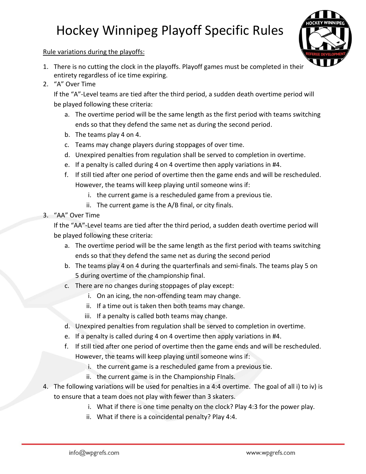## Hockey Winnipeg Playoff Specific Rules

## Rule variations during the playoffs:

- 1. There is no cutting the clock in the playoffs. Playoff games must be completed in their entirety regardless of ice time expiring.
- 2. "A" Over Time

If the "A"-Level teams are tied after the third period, a sudden death overtime period will be played following these criteria:

- a. The overtime period will be the same length as the first period with teams switching ends so that they defend the same net as during the second period.
- b. The teams play 4 on 4.
- c. Teams may change players during stoppages of over time.
- d. Unexpired penalties from regulation shall be served to completion in overtime.
- e. If a penalty is called during 4 on 4 overtime then apply variations in #4.
- f. If still tied after one period of overtime then the game ends and will be rescheduled. However, the teams will keep playing until someone wins if:
	- i. the current game is a rescheduled game from a previous tie.
	- ii. The current game is the A/B final, or city finals.
- 3. "AA" Over Time

If the "AA"-Level teams are tied after the third period, a sudden death overtime period will be played following these criteria:

- a. The overtime period will be the same length as the first period with teams switching ends so that they defend the same net as during the second period
- b. The teams play 4 on 4 during the quarterfinals and semi-finals. The teams play 5 on 5 during overtime of the championship final.
- c. There are no changes during stoppages of play except:
	- i. On an icing, the non-offending team may change.
	- ii. If a time out is taken then both teams may change.
	- iii. If a penalty is called both teams may change.
- d. Unexpired penalties from regulation shall be served to completion in overtime.
- e. If a penalty is called during 4 on 4 overtime then apply variations in #4.
- f. If still tied after one period of overtime then the game ends and will be rescheduled. However, the teams will keep playing until someone wins if:
	- i. the current game is a rescheduled game from a previous tie.
	- ii. the current game is in the Championship FInals.
- 4. The following variations will be used for penalties in a 4:4 overtime. The goal of all i) to iv) is to ensure that a team does not play with fewer than 3 skaters.
	- i. What if there is one time penalty on the clock? Play 4:3 for the power play.
	- ii. What if there is a coincidental penalty? Play 4:4.